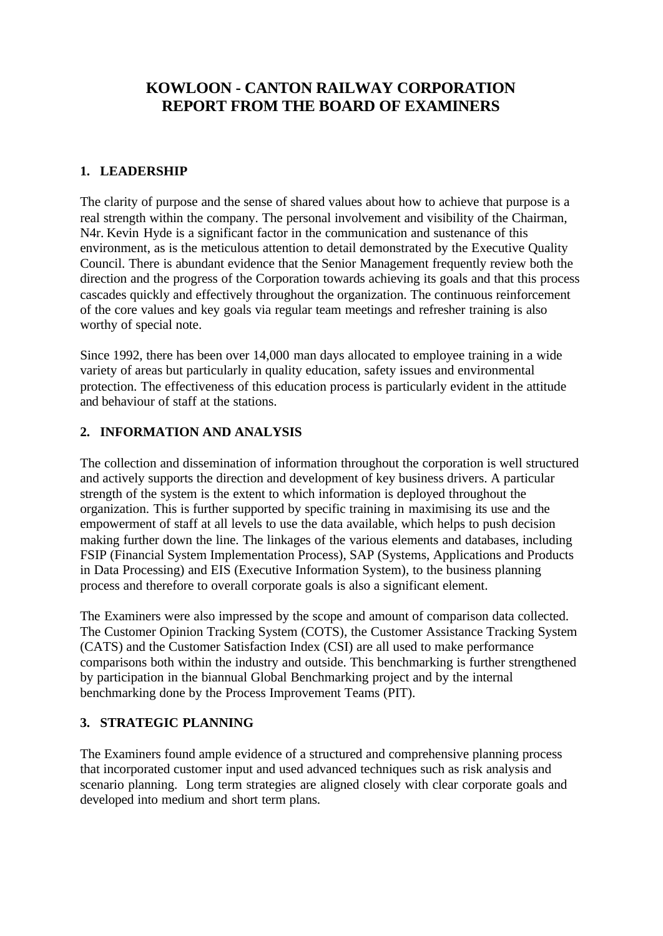# **KOWLOON - CANTON RAILWAY CORPORATION REPORT FROM THE BOARD OF EXAMINERS**

#### **1. LEADERSHIP**

The clarity of purpose and the sense of shared values about how to achieve that purpose is a real strength within the company. The personal involvement and visibility of the Chairman, N4r. Kevin Hyde is a significant factor in the communication and sustenance of this environment, as is the meticulous attention to detail demonstrated by the Executive Quality Council. There is abundant evidence that the Senior Management frequently review both the direction and the progress of the Corporation towards achieving its goals and that this process cascades quickly and effectively throughout the organization. The continuous reinforcement of the core values and key goals via regular team meetings and refresher training is also worthy of special note.

Since 1992, there has been over 14,000 man days allocated to employee training in a wide variety of areas but particularly in quality education, safety issues and environmental protection. The effectiveness of this education process is particularly evident in the attitude and behaviour of staff at the stations.

#### **2. INFORMATION AND ANALYSIS**

The collection and dissemination of information throughout the corporation is well structured and actively supports the direction and development of key business drivers. A particular strength of the system is the extent to which information is deployed throughout the organization. This is further supported by specific training in maximising its use and the empowerment of staff at all levels to use the data available, which helps to push decision making further down the line. The linkages of the various elements and databases, including FSIP (Financial System Implementation Process), SAP (Systems, Applications and Products in Data Processing) and EIS (Executive Information System), to the business planning process and therefore to overall corporate goals is also a significant element.

The Examiners were also impressed by the scope and amount of comparison data collected. The Customer Opinion Tracking System (COTS), the Customer Assistance Tracking System (CATS) and the Customer Satisfaction Index (CSI) are all used to make performance comparisons both within the industry and outside. This benchmarking is further strengthened by participation in the biannual Global Benchmarking project and by the internal benchmarking done by the Process Improvement Teams (PIT).

### **3. STRATEGIC PLANNING**

The Examiners found ample evidence of a structured and comprehensive planning process that incorporated customer input and used advanced techniques such as risk analysis and scenario planning. Long term strategies are aligned closely with clear corporate goals and developed into medium and short term plans.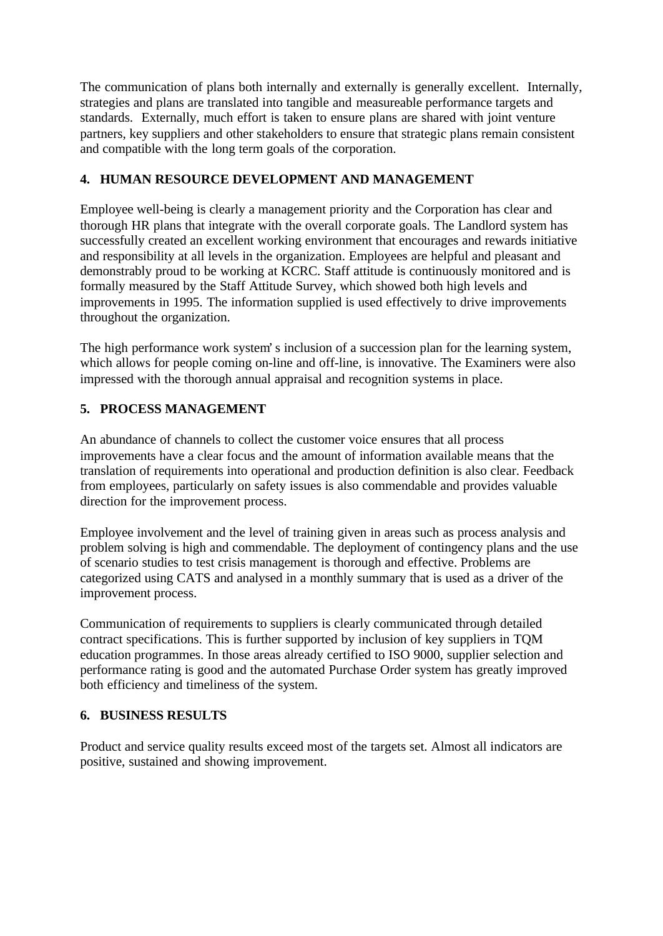The communication of plans both internally and externally is generally excellent. Internally, strategies and plans are translated into tangible and measureable performance targets and standards. Externally, much effort is taken to ensure plans are shared with joint venture partners, key suppliers and other stakeholders to ensure that strategic plans remain consistent and compatible with the long term goals of the corporation.

## **4. HUMAN RESOURCE DEVELOPMENT AND MANAGEMENT**

Employee well-being is clearly a management priority and the Corporation has clear and thorough HR plans that integrate with the overall corporate goals. The Landlord system has successfully created an excellent working environment that encourages and rewards initiative and responsibility at all levels in the organization. Employees are helpful and pleasant and demonstrably proud to be working at KCRC. Staff attitude is continuously monitored and is formally measured by the Staff Attitude Survey, which showed both high levels and improvements in 1995. The information supplied is used effectively to drive improvements throughout the organization.

The high performance work system's inclusion of a succession plan for the learning system, which allows for people coming on-line and off-line, is innovative. The Examiners were also impressed with the thorough annual appraisal and recognition systems in place.

# **5. PROCESS MANAGEMENT**

An abundance of channels to collect the customer voice ensures that all process improvements have a clear focus and the amount of information available means that the translation of requirements into operational and production definition is also clear. Feedback from employees, particularly on safety issues is also commendable and provides valuable direction for the improvement process.

Employee involvement and the level of training given in areas such as process analysis and problem solving is high and commendable. The deployment of contingency plans and the use of scenario studies to test crisis management is thorough and effective. Problems are categorized using CATS and analysed in a monthly summary that is used as a driver of the improvement process.

Communication of requirements to suppliers is clearly communicated through detailed contract specifications. This is further supported by inclusion of key suppliers in TQM education programmes. In those areas already certified to ISO 9000, supplier selection and performance rating is good and the automated Purchase Order system has greatly improved both efficiency and timeliness of the system.

### **6. BUSINESS RESULTS**

Product and service quality results exceed most of the targets set. Almost all indicators are positive, sustained and showing improvement.